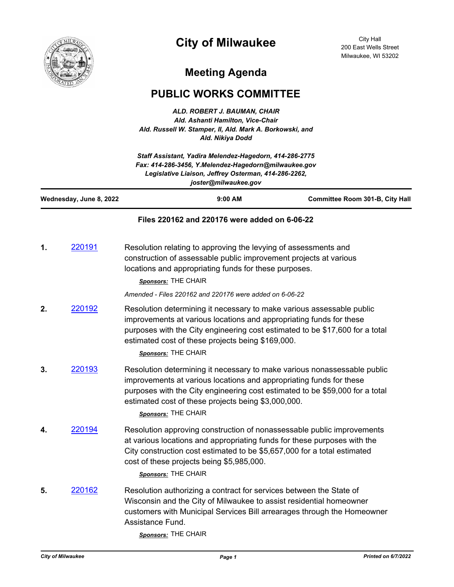

## **City of Milwaukee**

City Hall 200 East Wells Street Milwaukee, WI 53202

## **Meeting Agenda**

## **PUBLIC WORKS COMMITTEE**

*ALD. ROBERT J. BAUMAN, CHAIR Ald. Ashanti Hamilton, Vice-Chair Ald. Russell W. Stamper, II, Ald. Mark A. Borkowski, and Ald. Nikiya Dodd*

| Staff Assistant, Yadira Melendez-Hagedorn, 414-286-2775<br>Fax: 414-286-3456, Y.Melendez-Hagedorn@milwaukee.gov<br>Legislative Liaison, Jeffrey Osterman, 414-286-2262,<br>joster@milwaukee.gov |        |                                                                                                                                                                                                                                                                                                               |                                 |
|-------------------------------------------------------------------------------------------------------------------------------------------------------------------------------------------------|--------|---------------------------------------------------------------------------------------------------------------------------------------------------------------------------------------------------------------------------------------------------------------------------------------------------------------|---------------------------------|
| Wednesday, June 8, 2022                                                                                                                                                                         |        | 9:00 AM                                                                                                                                                                                                                                                                                                       | Committee Room 301-B, City Hall |
|                                                                                                                                                                                                 |        | Files 220162 and 220176 were added on 6-06-22                                                                                                                                                                                                                                                                 |                                 |
| 1.                                                                                                                                                                                              | 220191 | Resolution relating to approving the levying of assessments and<br>construction of assessable public improvement projects at various<br>locations and appropriating funds for these purposes.<br>Sponsors: THE CHAIR                                                                                          |                                 |
|                                                                                                                                                                                                 |        | Amended - Files 220162 and 220176 were added on 6-06-22                                                                                                                                                                                                                                                       |                                 |
| 2.                                                                                                                                                                                              | 220192 | Resolution determining it necessary to make various assessable public<br>improvements at various locations and appropriating funds for these<br>purposes with the City engineering cost estimated to be \$17,600 for a total<br>estimated cost of these projects being \$169,000.<br>Sponsors: THE CHAIR      |                                 |
| 3.                                                                                                                                                                                              | 220193 | Resolution determining it necessary to make various nonassessable public<br>improvements at various locations and appropriating funds for these<br>purposes with the City engineering cost estimated to be \$59,000 for a total<br>estimated cost of these projects being \$3,000,000.<br>Sponsors: THE CHAIR |                                 |
| 4.                                                                                                                                                                                              | 220194 | Resolution approving construction of nonassessable public improvements<br>at various locations and appropriating funds for these purposes with the<br>City construction cost estimated to be \$5,657,000 for a total estimated<br>cost of these projects being \$5,985,000.<br>Sponsors: THE CHAIR            |                                 |
| 5.                                                                                                                                                                                              | 220162 | Resolution authorizing a contract for services between the State of<br>Wisconsin and the City of Milwaukee to assist residential homeowner<br>customers with Municipal Services Bill arrearages through the Homeowner<br>Assistance Fund.<br>$T^{\text{H}}$ $T^{\text{H}}$ $\Omega^{\text{H}}$                |                                 |

*Sponsors:* THE CHAIR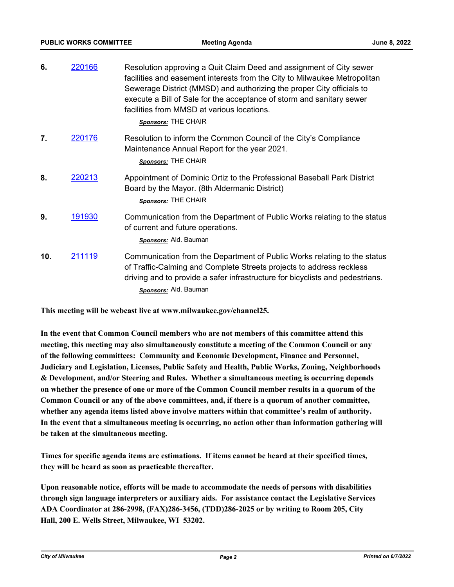| 6.  | 220166 | Resolution approving a Quit Claim Deed and assignment of City sewer<br>facilities and easement interests from the City to Milwaukee Metropolitan<br>Sewerage District (MMSD) and authorizing the proper City officials to<br>execute a Bill of Sale for the acceptance of storm and sanitary sewer<br>facilities from MMSD at various locations. |
|-----|--------|--------------------------------------------------------------------------------------------------------------------------------------------------------------------------------------------------------------------------------------------------------------------------------------------------------------------------------------------------|
|     |        | Sponsors: THE CHAIR                                                                                                                                                                                                                                                                                                                              |
| 7.  | 220176 | Resolution to inform the Common Council of the City's Compliance<br>Maintenance Annual Report for the year 2021.<br>Sponsors: THE CHAIR                                                                                                                                                                                                          |
| 8.  | 220213 | Appointment of Dominic Ortiz to the Professional Baseball Park District<br>Board by the Mayor. (8th Aldermanic District)<br>Sponsors: THE CHAIR                                                                                                                                                                                                  |
| 9.  | 191930 | Communication from the Department of Public Works relating to the status<br>of current and future operations.<br>Sponsors: Ald. Bauman                                                                                                                                                                                                           |
| 10. | 211119 | Communication from the Department of Public Works relating to the status<br>of Traffic-Calming and Complete Streets projects to address reckless<br>driving and to provide a safer infrastructure for bicyclists and pedestrians.<br>Sponsors: Ald. Bauman                                                                                       |

**This meeting will be webcast live at www.milwaukee.gov/channel25.**

**In the event that Common Council members who are not members of this committee attend this meeting, this meeting may also simultaneously constitute a meeting of the Common Council or any of the following committees: Community and Economic Development, Finance and Personnel, Judiciary and Legislation, Licenses, Public Safety and Health, Public Works, Zoning, Neighborhoods & Development, and/or Steering and Rules. Whether a simultaneous meeting is occurring depends on whether the presence of one or more of the Common Council member results in a quorum of the Common Council or any of the above committees, and, if there is a quorum of another committee, whether any agenda items listed above involve matters within that committee's realm of authority. In the event that a simultaneous meeting is occurring, no action other than information gathering will be taken at the simultaneous meeting.**

**Times for specific agenda items are estimations. If items cannot be heard at their specified times, they will be heard as soon as practicable thereafter.**

**Upon reasonable notice, efforts will be made to accommodate the needs of persons with disabilities through sign language interpreters or auxiliary aids. For assistance contact the Legislative Services ADA Coordinator at 286-2998, (FAX)286-3456, (TDD)286-2025 or by writing to Room 205, City Hall, 200 E. Wells Street, Milwaukee, WI 53202.**